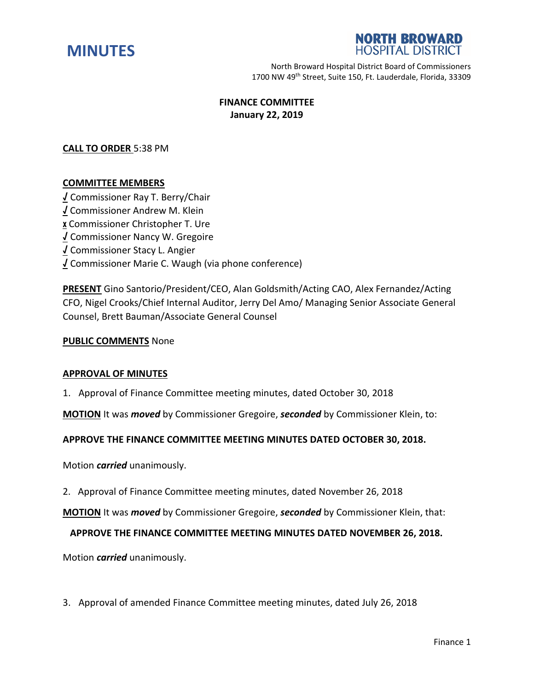



North Broward Hospital District Board of Commissioners 1700 NW 49<sup>th</sup> Street, Suite 150, Ft. Lauderdale, Florida, 33309

# **FINANCE COMMITTEE January 22, 2019**

## **CALL TO ORDER** 5:38 PM

#### **COMMITTEE MEMBERS**

**√** Commissioner Ray T. Berry/Chair **√** Commissioner Andrew M. Klein **x** Commissioner Christopher T. Ure **√** Commissioner Nancy W. Gregoire **√** Commissioner Stacy L. Angier **√** Commissioner Marie C. Waugh (via phone conference)

**PRESENT** Gino Santorio/President/CEO, Alan Goldsmith/Acting CAO, Alex Fernandez/Acting CFO, Nigel Crooks/Chief Internal Auditor, Jerry Del Amo/ Managing Senior Associate General Counsel, Brett Bauman/Associate General Counsel

#### **PUBLIC COMMENTS** None

#### **APPROVAL OF MINUTES**

1. Approval of Finance Committee meeting minutes, dated October 30, 2018

**MOTION** It was *moved* by Commissioner Gregoire, *seconded* by Commissioner Klein, to:

#### **APPROVE THE FINANCE COMMITTEE MEETING MINUTES DATED OCTOBER 30, 2018.**

Motion *carried* unanimously.

2. Approval of Finance Committee meeting minutes, dated November 26, 2018

**MOTION** It was *moved* by Commissioner Gregoire, *seconded* by Commissioner Klein, that:

#### **APPROVE THE FINANCE COMMITTEE MEETING MINUTES DATED NOVEMBER 26, 2018.**

Motion *carried* unanimously.

3. Approval of amended Finance Committee meeting minutes, dated July 26, 2018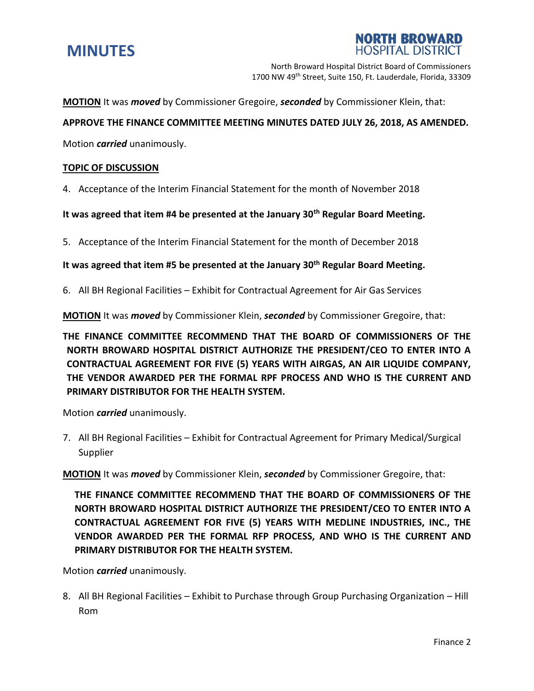

**NORTH BROWARD HOSPITAL DISTRICT** 

North Broward Hospital District Board of Commissioners 1700 NW 49<sup>th</sup> Street, Suite 150, Ft. Lauderdale, Florida, 33309

**MOTION** It was *moved* by Commissioner Gregoire, *seconded* by Commissioner Klein, that:

### **APPROVE THE FINANCE COMMITTEE MEETING MINUTES DATED JULY 26, 2018, AS AMENDED.**

Motion *carried* unanimously.

### **TOPIC OF DISCUSSION**

4. Acceptance of the Interim Financial Statement for the month of November 2018

**It was agreed that item #4 be presented at the January 30th Regular Board Meeting.**

5. Acceptance of the Interim Financial Statement for the month of December 2018

**It was agreed that item #5 be presented at the January 30th Regular Board Meeting.**

6. All BH Regional Facilities – Exhibit for Contractual Agreement for Air Gas Services

**MOTION** It was *moved* by Commissioner Klein, *seconded* by Commissioner Gregoire, that:

**THE FINANCE COMMITTEE RECOMMEND THAT THE BOARD OF COMMISSIONERS OF THE NORTH BROWARD HOSPITAL DISTRICT AUTHORIZE THE PRESIDENT/CEO TO ENTER INTO A CONTRACTUAL AGREEMENT FOR FIVE (5) YEARS WITH AIRGAS, AN AIR LIQUIDE COMPANY, THE VENDOR AWARDED PER THE FORMAL RPF PROCESS AND WHO IS THE CURRENT AND PRIMARY DISTRIBUTOR FOR THE HEALTH SYSTEM.** 

Motion *carried* unanimously.

7. All BH Regional Facilities – Exhibit for Contractual Agreement for Primary Medical/Surgical Supplier

**MOTION** It was *moved* by Commissioner Klein, *seconded* by Commissioner Gregoire, that:

**THE FINANCE COMMITTEE RECOMMEND THAT THE BOARD OF COMMISSIONERS OF THE NORTH BROWARD HOSPITAL DISTRICT AUTHORIZE THE PRESIDENT/CEO TO ENTER INTO A CONTRACTUAL AGREEMENT FOR FIVE (5) YEARS WITH MEDLINE INDUSTRIES, INC., THE VENDOR AWARDED PER THE FORMAL RFP PROCESS, AND WHO IS THE CURRENT AND PRIMARY DISTRIBUTOR FOR THE HEALTH SYSTEM.** 

Motion *carried* unanimously.

8. All BH Regional Facilities – Exhibit to Purchase through Group Purchasing Organization – Hill Rom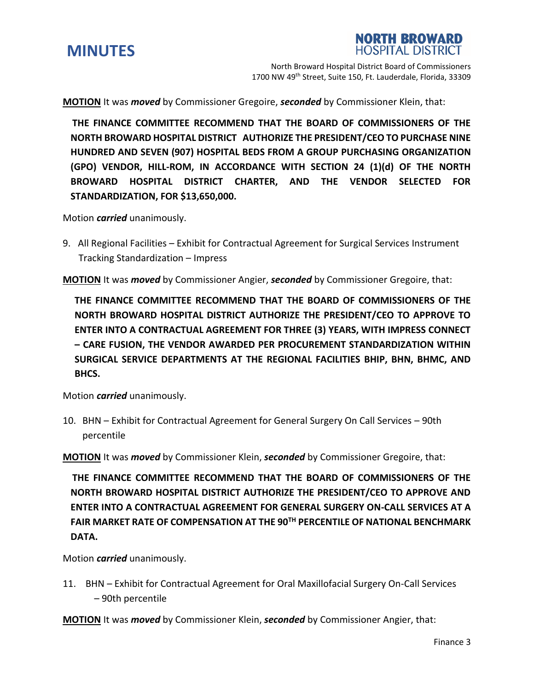



North Broward Hospital District Board of Commissioners 1700 NW 49<sup>th</sup> Street, Suite 150, Ft. Lauderdale, Florida, 33309

**MOTION** It was *moved* by Commissioner Gregoire, *seconded* by Commissioner Klein, that:

**THE FINANCE COMMITTEE RECOMMEND THAT THE BOARD OF COMMISSIONERS OF THE NORTH BROWARD HOSPITAL DISTRICT AUTHORIZE THE PRESIDENT/CEO TO PURCHASE NINE HUNDRED AND SEVEN (907) HOSPITAL BEDS FROM A GROUP PURCHASING ORGANIZATION (GPO) VENDOR, HILL-ROM, IN ACCORDANCE WITH SECTION 24 (1)(d) OF THE NORTH BROWARD HOSPITAL DISTRICT CHARTER, AND THE VENDOR SELECTED FOR STANDARDIZATION, FOR \$13,650,000.**

Motion *carried* unanimously.

9. All Regional Facilities – Exhibit for Contractual Agreement for Surgical Services Instrument Tracking Standardization – Impress

**MOTION** It was *moved* by Commissioner Angier, *seconded* by Commissioner Gregoire, that:

**THE FINANCE COMMITTEE RECOMMEND THAT THE BOARD OF COMMISSIONERS OF THE NORTH BROWARD HOSPITAL DISTRICT AUTHORIZE THE PRESIDENT/CEO TO APPROVE TO ENTER INTO A CONTRACTUAL AGREEMENT FOR THREE (3) YEARS, WITH IMPRESS CONNECT – CARE FUSION, THE VENDOR AWARDED PER PROCUREMENT STANDARDIZATION WITHIN SURGICAL SERVICE DEPARTMENTS AT THE REGIONAL FACILITIES BHIP, BHN, BHMC, AND BHCS.**

Motion *carried* unanimously.

10. BHN – Exhibit for Contractual Agreement for General Surgery On Call Services – 90th percentile

**MOTION** It was *moved* by Commissioner Klein, *seconded* by Commissioner Gregoire, that:

 **THE FINANCE COMMITTEE RECOMMEND THAT THE BOARD OF COMMISSIONERS OF THE NORTH BROWARD HOSPITAL DISTRICT AUTHORIZE THE PRESIDENT/CEO TO APPROVE AND ENTER INTO A CONTRACTUAL AGREEMENT FOR GENERAL SURGERY ON-CALL SERVICES AT A FAIR MARKET RATE OF COMPENSATION AT THE 90TH PERCENTILE OF NATIONAL BENCHMARK DATA.**

Motion *carried* unanimously.

11. BHN – Exhibit for Contractual Agreement for Oral Maxillofacial Surgery On-Call Services – 90th percentile

**MOTION** It was *moved* by Commissioner Klein, *seconded* by Commissioner Angier, that: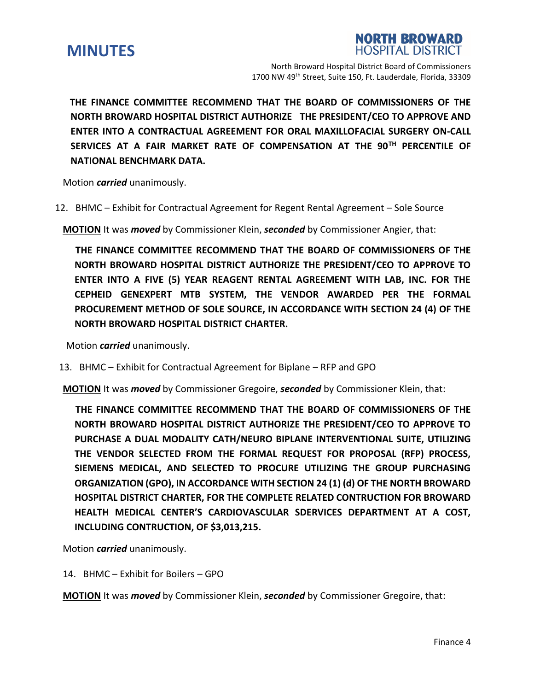

**NORTH BROWARD**<br>HOSPITAL DISTRICT

North Broward Hospital District Board of Commissioners 1700 NW 49<sup>th</sup> Street, Suite 150, Ft. Lauderdale, Florida, 33309

 **THE FINANCE COMMITTEE RECOMMEND THAT THE BOARD OF COMMISSIONERS OF THE NORTH BROWARD HOSPITAL DISTRICT AUTHORIZE THE PRESIDENT/CEO TO APPROVE AND ENTER INTO A CONTRACTUAL AGREEMENT FOR ORAL MAXILLOFACIAL SURGERY ON-CALL SERVICES AT A FAIR MARKET RATE OF COMPENSATION AT THE 90TH PERCENTILE OF NATIONAL BENCHMARK DATA.**

Motion *carried* unanimously.

12. BHMC – Exhibit for Contractual Agreement for Regent Rental Agreement – Sole Source

**MOTION** It was *moved* by Commissioner Klein, *seconded* by Commissioner Angier, that:

 **THE FINANCE COMMITTEE RECOMMEND THAT THE BOARD OF COMMISSIONERS OF THE NORTH BROWARD HOSPITAL DISTRICT AUTHORIZE THE PRESIDENT/CEO TO APPROVE TO ENTER INTO A FIVE (5) YEAR REAGENT RENTAL AGREEMENT WITH LAB, INC. FOR THE CEPHEID GENEXPERT MTB SYSTEM, THE VENDOR AWARDED PER THE FORMAL PROCUREMENT METHOD OF SOLE SOURCE, IN ACCORDANCE WITH SECTION 24 (4) OF THE NORTH BROWARD HOSPITAL DISTRICT CHARTER.** 

Motion *carried* unanimously.

13. BHMC – Exhibit for Contractual Agreement for Biplane – RFP and GPO

**MOTION** It was *moved* by Commissioner Gregoire, *seconded* by Commissioner Klein, that:

 **THE FINANCE COMMITTEE RECOMMEND THAT THE BOARD OF COMMISSIONERS OF THE NORTH BROWARD HOSPITAL DISTRICT AUTHORIZE THE PRESIDENT/CEO TO APPROVE TO PURCHASE A DUAL MODALITY CATH/NEURO BIPLANE INTERVENTIONAL SUITE, UTILIZING THE VENDOR SELECTED FROM THE FORMAL REQUEST FOR PROPOSAL (RFP) PROCESS, SIEMENS MEDICAL, AND SELECTED TO PROCURE UTILIZING THE GROUP PURCHASING ORGANIZATION (GPO), IN ACCORDANCE WITH SECTION 24 (1) (d) OF THE NORTH BROWARD HOSPITAL DISTRICT CHARTER, FOR THE COMPLETE RELATED CONTRUCTION FOR BROWARD HEALTH MEDICAL CENTER'S CARDIOVASCULAR SDERVICES DEPARTMENT AT A COST, INCLUDING CONTRUCTION, OF \$3,013,215.**

Motion *carried* unanimously.

14. BHMC – Exhibit for Boilers – GPO

**MOTION** It was *moved* by Commissioner Klein, *seconded* by Commissioner Gregoire, that: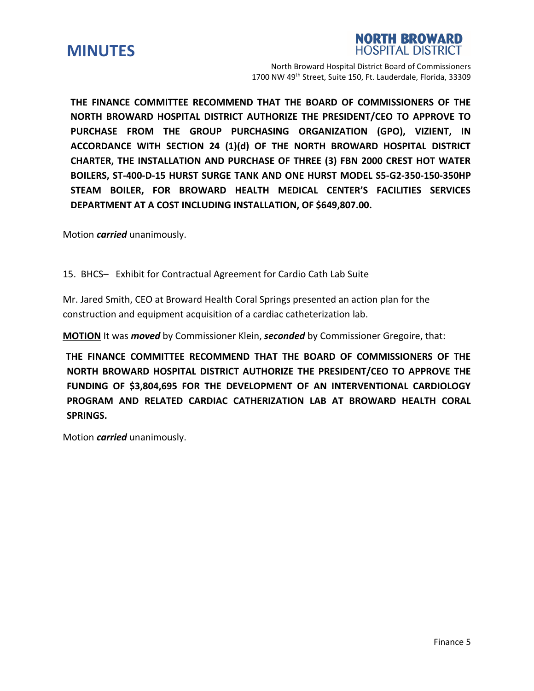



North Broward Hospital District Board of Commissioners 1700 NW 49<sup>th</sup> Street, Suite 150, Ft. Lauderdale, Florida, 33309

**THE FINANCE COMMITTEE RECOMMEND THAT THE BOARD OF COMMISSIONERS OF THE NORTH BROWARD HOSPITAL DISTRICT AUTHORIZE THE PRESIDENT/CEO TO APPROVE TO PURCHASE FROM THE GROUP PURCHASING ORGANIZATION (GPO), VIZIENT, IN ACCORDANCE WITH SECTION 24 (1)(d) OF THE NORTH BROWARD HOSPITAL DISTRICT CHARTER, THE INSTALLATION AND PURCHASE OF THREE (3) FBN 2000 CREST HOT WATER BOILERS, ST-400-D-15 HURST SURGE TANK AND ONE HURST MODEL S5-G2-350-150-350HP STEAM BOILER, FOR BROWARD HEALTH MEDICAL CENTER'S FACILITIES SERVICES DEPARTMENT AT A COST INCLUDING INSTALLATION, OF \$649,807.00.**

Motion *carried* unanimously.

15. BHCS– Exhibit for Contractual Agreement for Cardio Cath Lab Suite

Mr. Jared Smith, CEO at Broward Health Coral Springs presented an action plan for the construction and equipment acquisition of a cardiac catheterization lab.

**MOTION** It was *moved* by Commissioner Klein, *seconded* by Commissioner Gregoire, that:

**THE FINANCE COMMITTEE RECOMMEND THAT THE BOARD OF COMMISSIONERS OF THE NORTH BROWARD HOSPITAL DISTRICT AUTHORIZE THE PRESIDENT/CEO TO APPROVE THE FUNDING OF \$3,804,695 FOR THE DEVELOPMENT OF AN INTERVENTIONAL CARDIOLOGY PROGRAM AND RELATED CARDIAC CATHERIZATION LAB AT BROWARD HEALTH CORAL SPRINGS.** 

Motion *carried* unanimously.